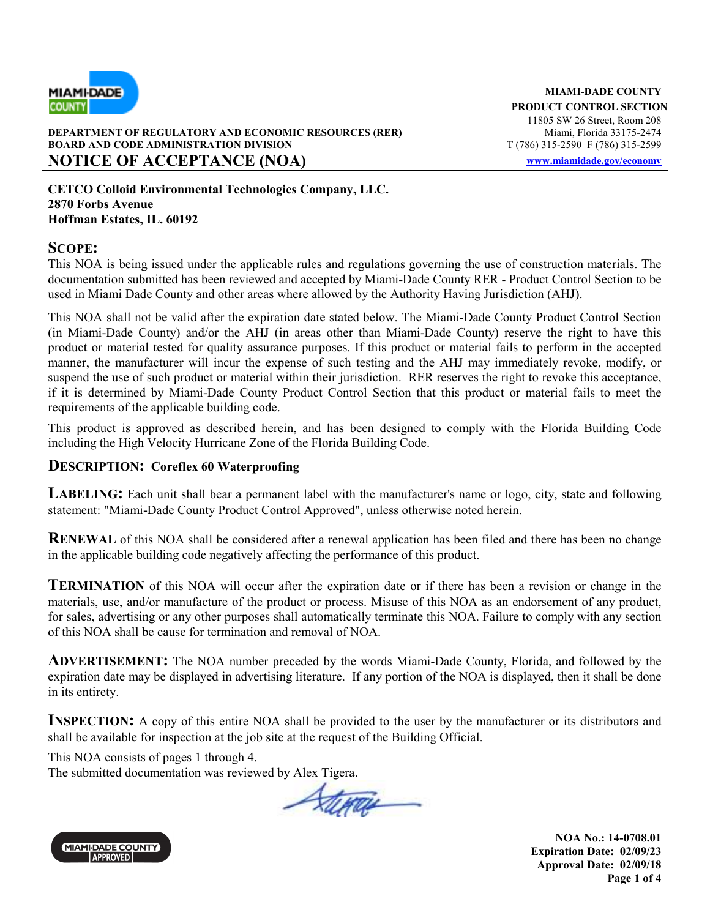

#### **DEPARTMENT OF REGULATORY AND ECONOMIC RESOURCES (RER) BOARD AND CODE ADMINISTRATION DIVISION T** (786) 315-2590 F (786) 315-2599 **NOTICE OF ACCEPTANCE (NOA) www.miamidade.gov/economy**

**CETCO Colloid Environmental Technologies Company, LLC. 2870 Forbs Avenue Hoffman Estates, IL. 60192** 

#### **SCOPE:**

This NOA is being issued under the applicable rules and regulations governing the use of construction materials. The documentation submitted has been reviewed and accepted by Miami-Dade County RER - Product Control Section to be used in Miami Dade County and other areas where allowed by the Authority Having Jurisdiction (AHJ).

This NOA shall not be valid after the expiration date stated below. The Miami-Dade County Product Control Section (in Miami-Dade County) and/or the AHJ (in areas other than Miami-Dade County) reserve the right to have this product or material tested for quality assurance purposes. If this product or material fails to perform in the accepted manner, the manufacturer will incur the expense of such testing and the AHJ may immediately revoke, modify, or suspend the use of such product or material within their jurisdiction. RER reserves the right to revoke this acceptance, if it is determined by Miami-Dade County Product Control Section that this product or material fails to meet the requirements of the applicable building code.

This product is approved as described herein, and has been designed to comply with the Florida Building Code including the High Velocity Hurricane Zone of the Florida Building Code.

#### **DESCRIPTION: Coreflex 60 Waterproofing**

**LABELING:** Each unit shall bear a permanent label with the manufacturer's name or logo, city, state and following statement: "Miami-Dade County Product Control Approved", unless otherwise noted herein.

**RENEWAL** of this NOA shall be considered after a renewal application has been filed and there has been no change in the applicable building code negatively affecting the performance of this product.

**TERMINATION** of this NOA will occur after the expiration date or if there has been a revision or change in the materials, use, and/or manufacture of the product or process. Misuse of this NOA as an endorsement of any product, for sales, advertising or any other purposes shall automatically terminate this NOA. Failure to comply with any section of this NOA shall be cause for termination and removal of NOA.

**ADVERTISEMENT:** The NOA number preceded by the words Miami-Dade County, Florida, and followed by the expiration date may be displayed in advertising literature. If any portion of the NOA is displayed, then it shall be done in its entirety.

**INSPECTION:** A copy of this entire NOA shall be provided to the user by the manufacturer or its distributors and shall be available for inspection at the job site at the request of the Building Official.

This NOA consists of pages 1 through 4.

The submitted documentation was reviewed by Alex Tigera.

Sterra



**NOA No.: 14-0708.01 Expiration Date: 02/09/23 Approval Date: 02/09/18 Page 1 of 4**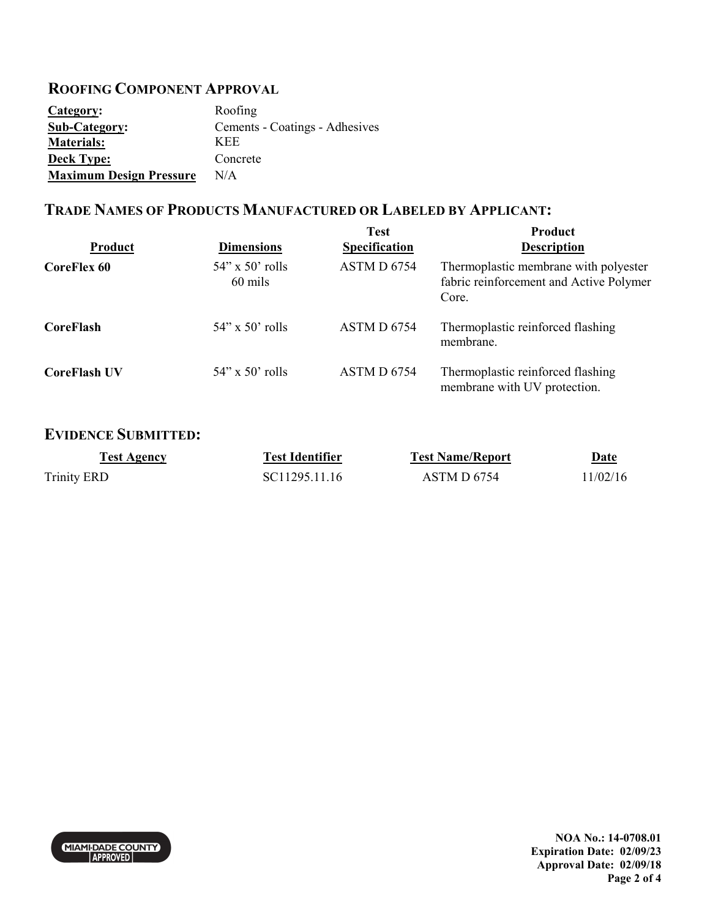## **ROOFING COMPONENT APPROVAL**

| Category:                      | Roofing                        |
|--------------------------------|--------------------------------|
| <b>Sub-Category:</b>           | Cements - Coatings - Adhesives |
| <b>Materials:</b>              | <b>KEE</b>                     |
| <b>Deck Type:</b>              | Concrete                       |
| <b>Maximum Design Pressure</b> | N/A                            |

### **TRADE NAMES OF PRODUCTS MANUFACTURED OR LABELED BY APPLICANT:**

| <b>Product</b>      | <b>Dimensions</b>                | <b>Test</b><br><b>Specification</b> | Product<br><b>Description</b>                                                             |
|---------------------|----------------------------------|-------------------------------------|-------------------------------------------------------------------------------------------|
| <b>CoreFlex 60</b>  | $54$ " x $50$ " rolls<br>60 mils | ASTM D 6754                         | Thermoplastic membrane with polyester<br>fabric reinforcement and Active Polymer<br>Core. |
| <b>CoreFlash</b>    | $54$ " x $50$ " rolls            | ASTM D 6754                         | Thermoplastic reinforced flashing<br>membrane.                                            |
| <b>CoreFlash UV</b> | $54$ " x $50$ " rolls            | ASTM D 6754                         | Thermoplastic reinforced flashing<br>membrane with UV protection.                         |

#### **EVIDENCE SUBMITTED:**

| <b>Test Agency</b> | <b>Test Identifier</b> | <b>Test Name/Report</b> | Date     |
|--------------------|------------------------|-------------------------|----------|
| <b>Trinity ERD</b> | SC11295.11.16          | ASTM D 6754             | 11/02/16 |

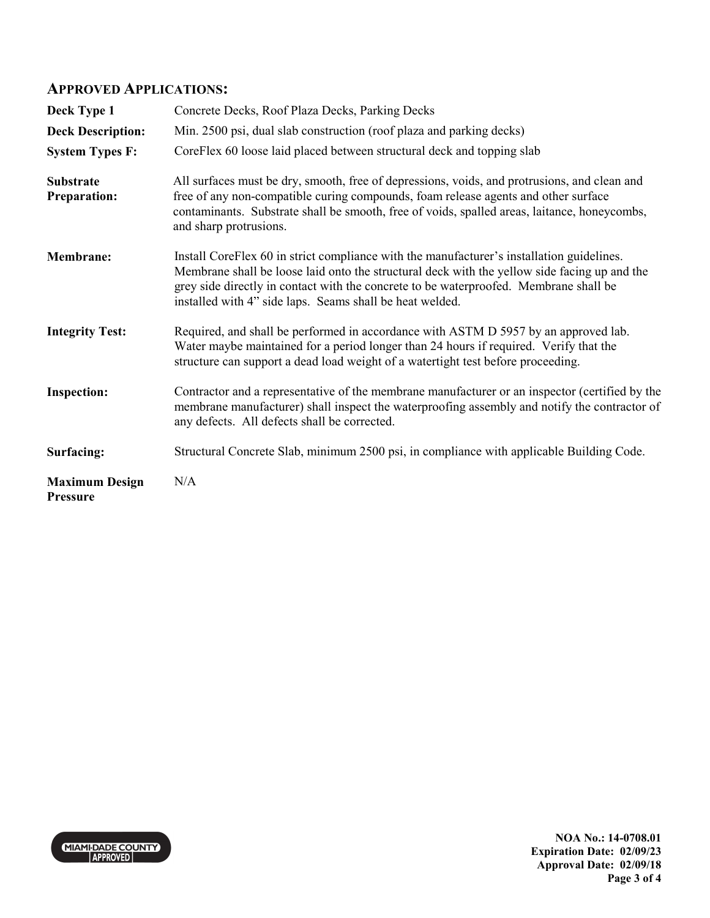#### **APPROVED APPLICATIONS:**

| Deck Type 1                              | Concrete Decks, Roof Plaza Decks, Parking Decks                                                                                                                                                                                                                                                                                                |
|------------------------------------------|------------------------------------------------------------------------------------------------------------------------------------------------------------------------------------------------------------------------------------------------------------------------------------------------------------------------------------------------|
| <b>Deck Description:</b>                 | Min. 2500 psi, dual slab construction (roof plaza and parking decks)                                                                                                                                                                                                                                                                           |
| <b>System Types F:</b>                   | CoreFlex 60 loose laid placed between structural deck and topping slab                                                                                                                                                                                                                                                                         |
| <b>Substrate</b><br><b>Preparation:</b>  | All surfaces must be dry, smooth, free of depressions, voids, and protrusions, and clean and<br>free of any non-compatible curing compounds, foam release agents and other surface<br>contaminants. Substrate shall be smooth, free of voids, spalled areas, laitance, honeycombs,<br>and sharp protrusions.                                   |
| <b>Membrane:</b>                         | Install CoreFlex 60 in strict compliance with the manufacturer's installation guidelines.<br>Membrane shall be loose laid onto the structural deck with the yellow side facing up and the<br>grey side directly in contact with the concrete to be waterproofed. Membrane shall be<br>installed with 4" side laps. Seams shall be heat welded. |
| <b>Integrity Test:</b>                   | Required, and shall be performed in accordance with ASTM D 5957 by an approved lab.<br>Water maybe maintained for a period longer than 24 hours if required. Verify that the<br>structure can support a dead load weight of a watertight test before proceeding.                                                                               |
| <b>Inspection:</b>                       | Contractor and a representative of the membrane manufacturer or an inspector (certified by the<br>membrane manufacturer) shall inspect the waterproofing assembly and notify the contractor of<br>any defects. All defects shall be corrected.                                                                                                 |
| Surfacing:                               | Structural Concrete Slab, minimum 2500 psi, in compliance with applicable Building Code.                                                                                                                                                                                                                                                       |
| <b>Maximum Design</b><br><b>Pressure</b> | N/A                                                                                                                                                                                                                                                                                                                                            |